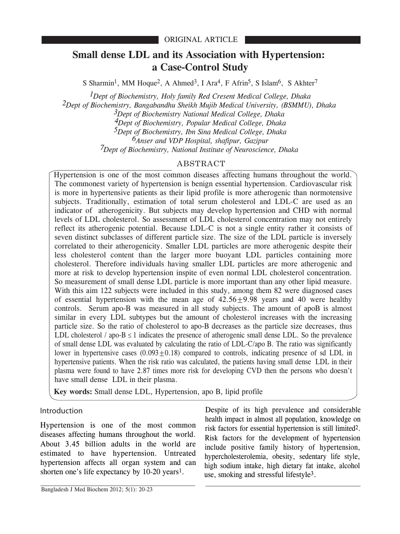# **Small dense LDL and its Association with Hypertension: a Case-Control Study**

S Sharmin<sup>1</sup>, MM Hoque<sup>2</sup>, A Ahmed<sup>3</sup>, I Ara<sup>4</sup>, F Afrin<sup>5</sup>, S Islam<sup>6</sup>, S Akhter<sup>7</sup>

*1Dept of Biochemistry, Holy family Red Cresent Medical College, Dhaka 2Dept of Biochemistry, Bangabandhu Sheikh Mujib Medical University, (BSMMU), Dhaka 3Dept of Biochemistry National Medical College, Dhaka 4Dept of Biochemistry, Popular Medical College, Dhaka 5Dept of Biochemistry, Ibn Sina Medical College, Dhaka 6Anser and VDP Hospital, shafipur, Gazipur 7Dept of Biochemistry, National Institute of Neuroscience, Dhaka*

## ABSTRACT

Hypertension is one of the most common diseases affecting humans throughout the world. The commonest variety of hypertension is benign essential hypertension. Cardiovascular risk is more in hypertensive patients as their lipid profile is more atherogenic than normotensive subjects. Traditionally, estimation of total serum cholesterol and LDL-C are used as an indicator of atherogenicity. But subjects may develop hypertension and CHD with normal levels of LDL cholesterol. So assessment of LDL cholesterol concentration may not entirely reflect its atherogenic potential. Because LDL-C is not a single entity rather it consists of seven distinct subclasses of different particle size. The size of the LDL particle is inversely correlated to their atherogenicity. Smaller LDL particles are more atherogenic despite their less cholesterol content than the larger more buoyant LDL particles containing more cholesterol. Therefore individuals having smaller LDL particles are more atherogenic and more at risk to develop hypertension inspite of even normal LDL cholesterol concentration. So measurement of small dense LDL particle is more important than any other lipid measure. With this aim 122 subjects were included in this study, among them 82 were diagnosed cases of essential hypertension with the mean age of  $42.56+9.98$  years and 40 were healthy controls. Serum apo-B was measured in all study subjects. The amount of apoB is almost similar in every LDL subtypes but the amount of cholesterol increases with the increasing particle size. So the ratio of cholesterol to apo-B decreases as the particle size decreases, thus LDL cholesterol / apo- $B \le 1$  indicates the presence of atherogenic small dense LDL. So the prevalence of small dense LDL was evaluated by calculating the ratio of LDL-C/apo B. The ratio was significantly lower in hypertensive cases  $(0.093+0.18)$  compared to controls, indicating presence of sd LDL in hypertensive patients. When the risk ratio was calculated, the patients having small dense LDL in their plasma were found to have 2.87 times more risk for developing CVD then the persons who doesn't have small dense LDL in their plasma.

**Key words:** Small dense LDL, Hypertension, apo B, lipid profile

## Introduction

Hypertension is one of the most common diseases affecting humans throughout the world. About 3.45 billion adults in the world are estimated to have hypertension. Untreated hypertension affects all organ system and can shorten one's life expectancy by 10-20 years1.

Despite of its high prevalence and considerable health impact in almost all population, knowledge on risk factors for essential hypertension is still limited2. Risk factors for the development of hypertension include positive family history of hypertension, hypercholesterolemia, obesity, sedentary life style, high sodium intake, high dietary fat intake, alcohol use, smoking and stressful lifestyle3.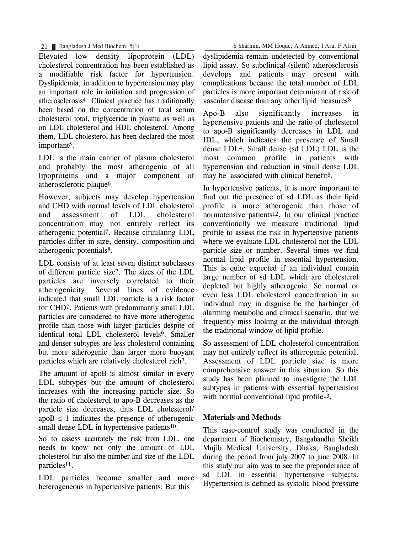Elevated low density lipoprotein (LDL) cholesterol concentration has been established as a modifiable risk factor for hypertension. Dyslipidemia, in addition to hypertension may play an important role in initiation and progression of atherosclerosis4. Clinical practice has traditionally been based on the concentration of total serum cholesterol total, triglyceride in plasma as well as on LDL cholesterol and HDL cholesterol. Among them, LDL cholesterol has been declared the most important5.

LDL is the main carrier of plasma cholesterol and probably the most atherogenic of all lipoproteins and a major component of atherosclerotic plaque6.

However, subjects may develop hypertension and CHD with normal levels of LDL cholesterol and assessment of LDL cholesterol concentration may not entirely reflect its atherogenic potential7. Because circulating LDL particles differ in size, density, composition and atherogenic potentials8.

LDL consists of at least seven distinct subclasses of different particle size7. The sizes of the LDL particles are inversely correlated to their atherogenicity. Several lines of evidence indicated that small LDL particle is a risk factor for CHD7. Patients with predominantly small LDL particles are considered to have more atherogenic profile than those with larger particles despite of identical total LDL cholesterol levels9. Smaller and denser subtypes are less cholesterol containing but more atherogenic than larger more buoyant particles which are relatively cholesterol rich7.

The amount of apoB is almost similar in every LDL subtypes but the amount of cholesterol increases with the increasing particle size. So the ratio of cholesterol to apo-B decreases as the particle size decreases, thus LDL cholesterol/  $apoB \leq 1$  indicates the presence of atherogenic small dense LDL in hypertensive patients<sup>10</sup>.

So to assess accurately the risk from LDL, one needs to know not only the amount of LDL cholesterol but also the number and size of the LDL particles11.

LDL particles become smaller and more heterogeneous in hypertensive patients. But this

dyslipidemia remain undetected by conventional lipid assay. So subclinical (silent) atherosclerosis develops and patients may present with complications because the total number of LDL particles is more important determinant of risk of vascular disease than any other lipid measures8.

Apo-B also significantly increases in hypertensive patients and the ratio of cholesterol to apo-B significantly decreases in LDL and IDL, which indicates the presence of Small dense LDL4. Small dense (sd LDL) LDL is the most common profile in patients with hypertension and reduction in small dense LDL may be associated with clinical benefit<sup>8</sup>.

In hypertensive patients, it is more important to find out the presence of sd LDL as their lipid profile is more atherogenic than those of normotensive patients12. In our clinical practice conventionally we measure traditional lipid profile to assess the risk in hypertensive patients where we evaluate LDL cholesterol not the LDL particle size or number. Several times we find normal lipid profile in essential hypertension. This is quite expected if an individual contain large number of sd LDL which are cholesterol depleted but highly atherogenic. So normal or even less LDL cholesterol concentration in an individual may in disguise be the harbinger of alarming metabolic and clinical scenario, that we frequently miss looking at the individual through the traditional window of lipid profile.

So assessment of LDL cholesterol concentration may not entirely reflect its atherogenic potential. Assessment of LDL particle size is more comprehensive answer in this situation. So this study has been planned to investigate the LDL subtypes in patients with essential hypertension with normal conventional lipid profile<sup>13</sup>.

## **Materials and Methods**

This case-control study was conducted in the department of Biochemistry, Bangabandhu Sheikh Mujib Medical University, Dhaka, Bangladesh during the period from july 2007 to june 2008. In this study our aim was to see the preponderance of sd LDL in essential hypertensive subjects. Hypertension is defined as systolic blood pressure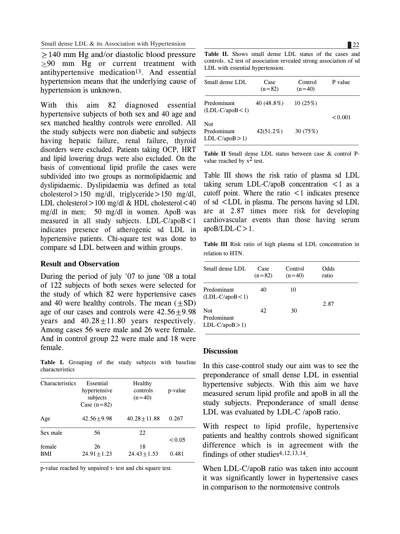$\geq$  140 mm Hg and/or diastolic blood pressure  $\geq$ 90 mm Hg or current treatment with antihypertensive medication13. And essential hypertension means that the underlying cause of hypertension is unknown.

With this aim 82 diagnosed essential hypertensive subjects of both sex and 40 age and sex matched healthy controls were enrolled. All the study subjects were non diabetic and subjects having hepatic failure, renal failure, thyroid disorders were excluded. Patients taking OCP, HRT and lipid lowering drugs were also excluded. On the basis of conventional lipid profile the cases were subdivided into two groups as normolipidaemic and dyslipidaemic. Dyslipidaemia was defined as total cholesterol>150 mg/dl, triglyceride>150 mg/dl, LDL cholesterol  $>100$  mg/dl & HDL cholesterol  $< 40$ mg/dl in men; 50 mg/dl in women. ApoB was measured in all study subjects. LDL-C/apoB<1 indicates presence of atherogenic sd LDL in hypertensive patients. Chi-square test was done to compare sd LDL between and within groups.

#### **Result and Observation**

During the period of july '07 to june '08 a total of 122 subjects of both sexes were selected for the study of which 82 were hypertensive cases and 40 were healthy controls. The mean  $(\pm SD)$ age of our cases and controls were  $42.56 \pm 9.98$ years and  $40.28 \pm 11.80$  years respectively. Among cases 56 were male and 26 were female. And in control group 22 were male and 18 were female.

**Table I.** Grouping of the study subjects with baseline characteristics

| <b>Characteristics</b> | Essential<br>hypertensive<br>subjects<br>Case $(n=82)$ | Healthy<br>controls<br>$(n=40)$ | p-value |
|------------------------|--------------------------------------------------------|---------------------------------|---------|
| Age                    | $42.56 + 9.98$                                         | $40.28 + 11.88$                 | 0.267   |
| Sex male               | 56                                                     | 22                              |         |
|                        |                                                        |                                 | < 0.05  |
| female                 | 26                                                     | 18                              |         |
| <b>BMI</b>             | $24.91 + 1.23$                                         | $24.43 + 1.53$                  | 0.481   |

p-value reached by unpaired t- test and chi square test.

**Table II.** Shows small dense LDL status of the cases and controls. x2 test of association revealed strong association of sd LDL with essential hypertension.

| Small dense LDL                        | Case<br>$(n=82)$ | Control<br>$(n=40)$ | P value |  |
|----------------------------------------|------------------|---------------------|---------|--|
| Predominant<br>$(LDL-C/apoB<1)$        | 40 (48.8%)       | 10(25%)             | < 0.001 |  |
| Not.<br>Predominant<br>$LDL-C/apoB>1)$ | $42(51.2\%)$     | 30 (75%)            |         |  |

**Table II** Small dense LDL status between case & control Pvalue reached by  $x^2$  test.

Table III shows the risk ratio of plasma sd LDL taking serum LDL-C/apoB concentration  $\leq 1$  as a cutoff point. Where the ratio  $\leq 1$  indicates presence of sd <LDL in plasma. The persons having sd LDL are at 2.87 times more risk for developing cardiovascular events than those having serum  $apoB/LDL-C>1.$ 

**Table III** Risk ratio of high plasma sd LDL concentration in relation to HTN.

| Small dense LDL                       | Case<br>$(n=82)$ | Control<br>$(n=40)$ | Odds<br>ratio |  |
|---------------------------------------|------------------|---------------------|---------------|--|
| Predominant<br>$(LDL-C/apoB<1)$       | 40               | 10                  |               |  |
| Not<br>Predominant<br>$LDL-C/apoB>1)$ | 42               | 30                  | 2.87          |  |

#### **Discussion**

In this case-control study our aim was to see the preponderance of small dense LDL in essential hypertensive subjects. With this aim we have measured serum lipid profile and apoB in all the study subjects. Preponderance of small dense LDL was evaluated by LDL-C /apoB ratio.

With respect to lipid profile, hypertensive patients and healthy controls showed significant difference which is in agreement with the findings of other studies4,12,13,14.

When LDL-C/apoB ratio was taken into account it was significantly lower in hypertensive cases in comparison to the normotensive controls